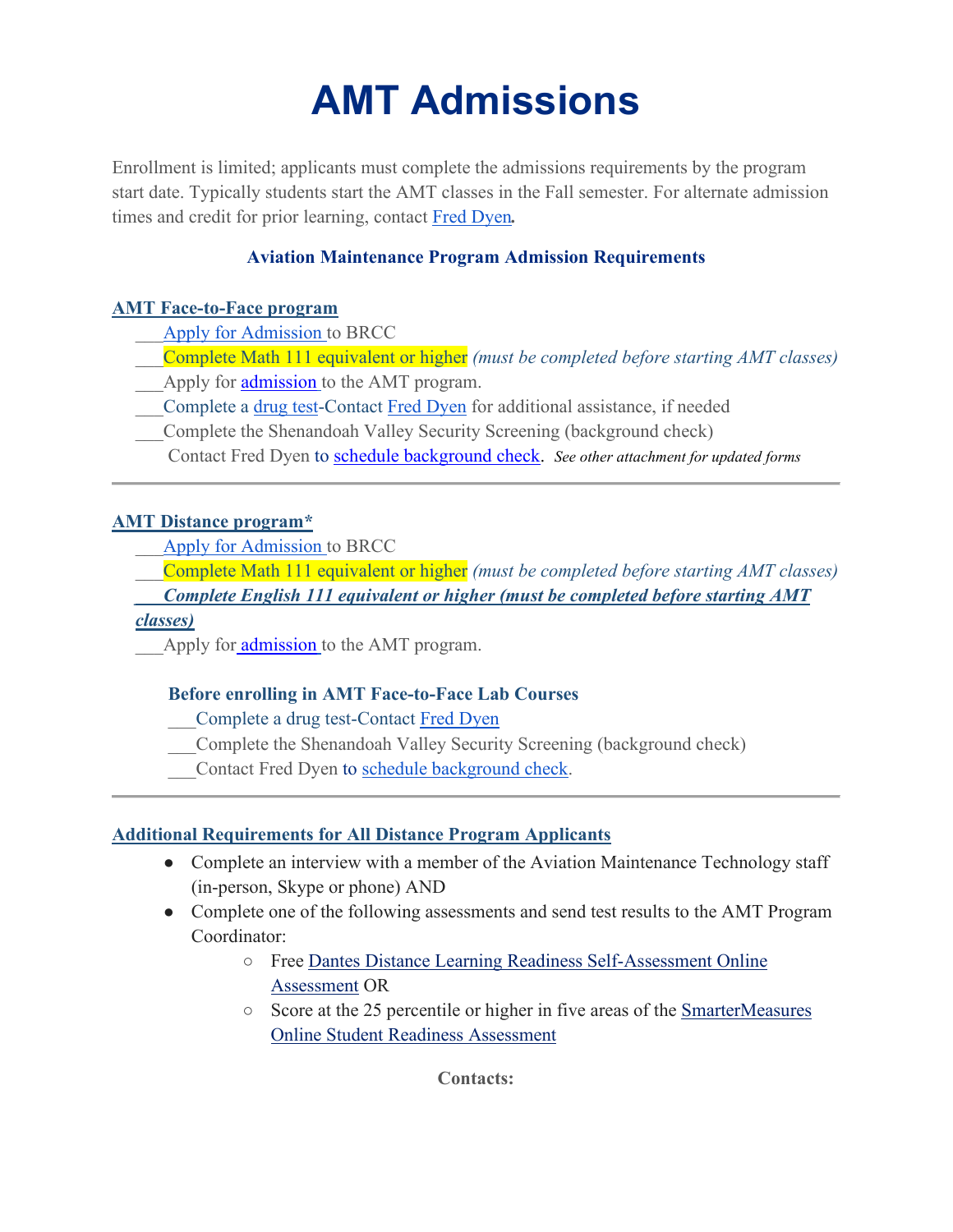# **AMT Admissions**

Enrollment is limited; applicants must complete the admissions requirements by the program start date. Typically students start the AMT classes in the Fall semester. For alternate admission times and credit for prior learning, contact [Fred Dyen](mailto:dyenf@brcc.edu)*.* 

# **Aviation Maintenance Program Admission Requirements**

## **AMT Face-to-Face program**

- \_\_[\\_Apply for Admission t](https://www.apply.vccs.edu/applications/vccs/apply.html?application_id=3228)o BRCC
- \_\_\_Complete Math 111 equivalent or higher *(must be completed before starting AMT classes)*
- Apply for **admission** to the AMT program.
- \_\_\_Complete a [drug test-](https://portal.castlebranch.com/bn83)Contact [Fred Dyen](mailto:dyenf@brcc.edu) for additional assistance, if needed
- \_\_\_Complete the Shenandoah Valley Security Screening (background check)
- Contact Fred Dyen to [schedule background check.](https://www.brcc.edu/directory/) *See other attachment for updated forms*

## **AMT Distance program\***

\_\_[\\_Apply for Admission t](https://www.apply.vccs.edu/applications/vccs/apply.html?application_id=3228)o BRCC

\_\_\_Complete Math 111 equivalent or higher *(must be completed before starting AMT classes)* 

*Complete English 111 equivalent or higher (must be completed before starting AMT* 

#### *classes)*

Apply for [admission](https://docs.google.com/forms/d/1qZKKw1kBIDC4CV91uR9QDU2IxGwzExL4DzHBQSsQRsQ/edit?ts=61968d75) to the AMT program.

#### **Before enrolling in AMT Face-to-Face Lab Courses**

\_\_\_Complete a drug test-Contact [Fred Dyen](mailto:dyenf@brcc.edu)

- \_\_\_Complete the Shenandoah Valley Security Screening (background check)
- Contact Fred Dyen to [schedule background check.](https://sites.google.com/a/email.vccs.edu/brcc-aviation-maintenance/home/application-for-shd-airport-access-id)

#### **Additional Requirements for All Distance Program Applicants**

- Complete an interview with a member of the Aviation Maintenance Technology staff (in-person, Skype or phone) AND
- Complete one of the following assessments and send test results to the AMT Program Coordinator:
	- Free [Dantes Distance Learning Readiness Self-Assessment Online](https://dlrsa.dodmou.com/)  [Assessment](https://dlrsa.dodmou.com/) OR
	- Score at the 25 percentile or higher in five areas of the [SmarterMeasures](https://secure.smartermeasure.com/order/)  [Online Student Readiness Assessment](https://secure.smartermeasure.com/order/)

**Contacts:**